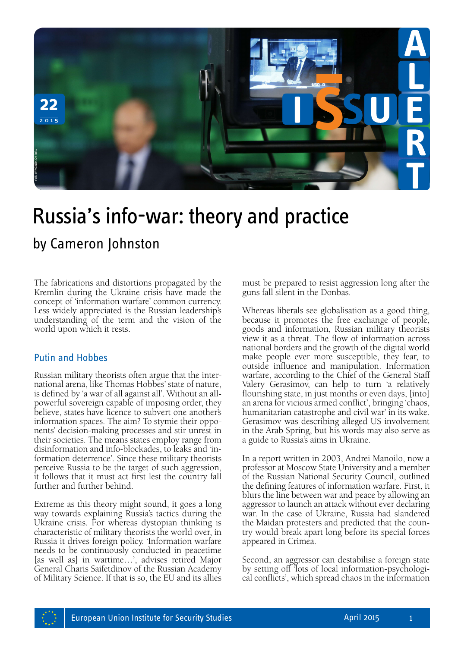

## Russia's info-war: theory and practice

The fabrications and distortions propagated by the Kremlin during the Ukraine crisis have made the concept of 'information warfare' common currency. Less widely appreciated is the Russian leadership's understanding of the term and the vision of the world upon which it rests.

## Putin and Hobbes

Russian military theorists often argue that the inter- national arena, like Thomas Hobbes' state of nature, is defined by 'a war of all against all'. Without an allpowerful sovereign capable of imposing order, they believe, states have licence to subvert one another's information spaces. The aim? To stymie their oppo- nents' decision-making processes and stir unrest in their societies. The means states employ range from formation deterrence'. Since these military theorists perceive Russia to be the target of such aggression, it follows that it must act first lest the country fall further and further behind.

Extreme as this theory might sound, it goes a long way towards explaining Russia's tactics during the Ukraine crisis. For whereas dystopian thinking is characteristic of military theorists the world over, in Russia it drives foreign policy. 'Information warfare needs to be continuously conducted in peacetime [as well as] in wartime…', advises retired Major General Charis Saifetdinov of the Russian Academy of Military Science. If that is so, the EU and its allies

must be prepared to resist aggression long after the guns fall silent in the Donbas.

Whereas liberals see globalisation as a good thing, because it promotes the free exchange of people, goods and information, Russian military theorists view it as a threat. The flow of information across national borders and the growth of the digital world make people ever more susceptible, they fear, to outside influence and manipulation. Information warfare, according to the Chief of the General Staff Valery Gerasimov, can help to turn 'a relatively flourishing state, in just months or even days, [into] an arena for vicious armed conflict', bringing 'chaos, humanitarian catastrophe and civil war' in its wake. Gerasimov was describing alleged US involvement in the Arab Spring, but his words may also serve as a guide to Russia's aims in Ukraine.

In a report written in 2003, Andrei Manoilo, now a professor at Moscow State University and a member of the Russian National Security Council, outlined the defining features of information warfare. First, it blurs the line between war and peace by allowing an aggressor to launch an attack without ever declaring war. In the case of Ukraine, Russia had slandered the Maidan protesters and predicted that the country would break apart long before its special forces appeared in Crimea.

Second, an aggressor can destabilise a foreign state by setting off 'lots of local information-psychological conflicts', which spread chaos in the information